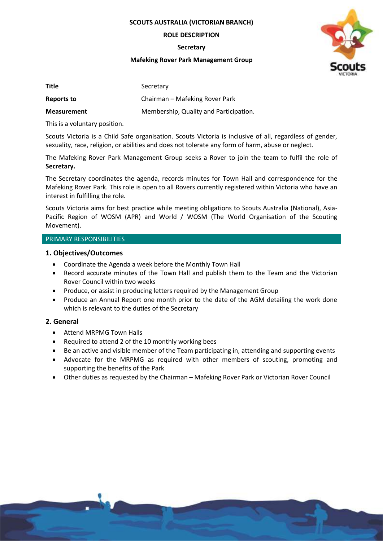**SCOUTS AUSTRALIA (VICTORIAN BRANCH)**

### **ROLE DESCRIPTION**

**Secretary**

### **Mafeking Rover Park Management Group**



| <b>Title</b>       | Secretary                              |
|--------------------|----------------------------------------|
| Reports to         | Chairman – Mafeking Rover Park         |
| <b>Measurement</b> | Membership, Quality and Participation. |

This is a voluntary position.

Scouts Victoria is a Child Safe organisation. Scouts Victoria is inclusive of all, regardless of gender, sexuality, race, religion, or abilities and does not tolerate any form of harm, abuse or neglect.

The Mafeking Rover Park Management Group seeks a Rover to join the team to fulfil the role of **Secretary.**

The Secretary coordinates the agenda, records minutes for Town Hall and correspondence for the Mafeking Rover Park. This role is open to all Rovers currently registered within Victoria who have an interest in fulfilling the role.

Scouts Victoria aims for best practice while meeting obligations to Scouts Australia (National), Asia-Pacific Region of WOSM (APR) and World / WOSM (The World Organisation of the Scouting Movement).

# PRIMARY RESPONSIBILITIES

# **1. Objectives/Outcomes**

- Coordinate the Agenda a week before the Monthly Town Hall
- Record accurate minutes of the Town Hall and publish them to the Team and the Victorian Rover Council within two weeks
- Produce, or assist in producing letters required by the Management Group
- Produce an Annual Report one month prior to the date of the AGM detailing the work done which is relevant to the duties of the Secretary

# **2. General**

- Attend MRPMG Town Halls
- Required to attend 2 of the 10 monthly working bees
- Be an active and visible member of the Team participating in, attending and supporting events
- Advocate for the MRPMG as required with other members of scouting, promoting and supporting the benefits of the Park
- Other duties as requested by the Chairman Mafeking Rover Park or Victorian Rover Council